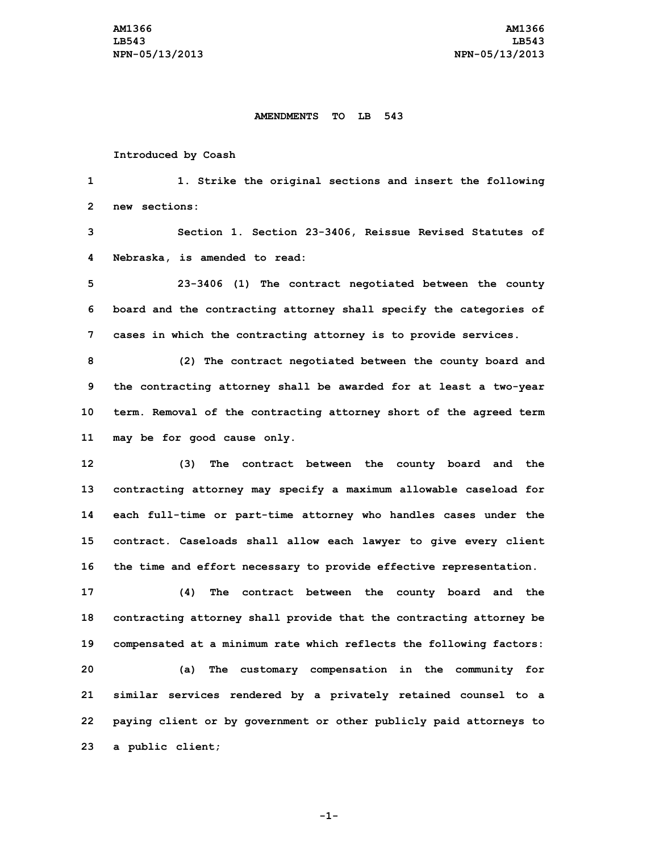## **AMENDMENTS TO LB 543**

## **Introduced by Coash**

**1 1. Strike the original sections and insert the following 2 new sections:**

**3 Section 1. Section 23-3406, Reissue Revised Statutes of 4 Nebraska, is amended to read:**

**5 23-3406 (1) The contract negotiated between the county 6 board and the contracting attorney shall specify the categories of 7 cases in which the contracting attorney is to provide services.**

 **(2) The contract negotiated between the county board and the contracting attorney shall be awarded for at least <sup>a</sup> two-year term. Removal of the contracting attorney short of the agreed term may be for good cause only.**

 **(3) The contract between the county board and the contracting attorney may specify <sup>a</sup> maximum allowable caseload for each full-time or part-time attorney who handles cases under the contract. Caseloads shall allow each lawyer to give every client the time and effort necessary to provide effective representation.**

 **(4) The contract between the county board and the contracting attorney shall provide that the contracting attorney be compensated at <sup>a</sup> minimum rate which reflects the following factors: (a) The customary compensation in the community for similar services rendered by <sup>a</sup> privately retained counsel to <sup>a</sup> paying client or by government or other publicly paid attorneys to <sup>a</sup> public client;**

**-1-**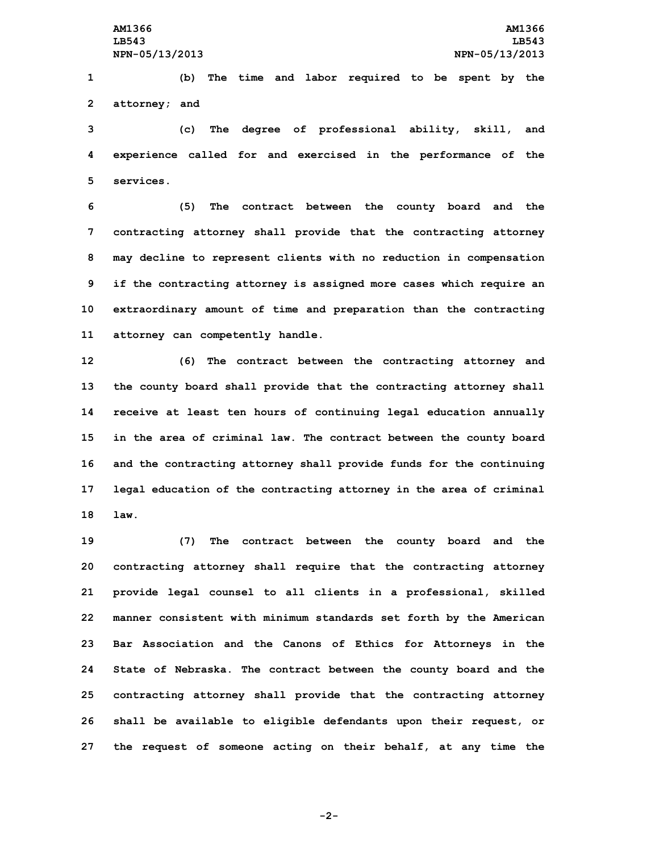**1 (b) The time and labor required to be spent by the 2 attorney; and**

**3 (c) The degree of professional ability, skill, and 4 experience called for and exercised in the performance of the 5 services.**

 **(5) The contract between the county board and the contracting attorney shall provide that the contracting attorney may decline to represent clients with no reduction in compensation if the contracting attorney is assigned more cases which require an extraordinary amount of time and preparation than the contracting attorney can competently handle.**

 **(6) The contract between the contracting attorney and the county board shall provide that the contracting attorney shall receive at least ten hours of continuing legal education annually in the area of criminal law. The contract between the county board and the contracting attorney shall provide funds for the continuing legal education of the contracting attorney in the area of criminal 18 law.**

 **(7) The contract between the county board and the contracting attorney shall require that the contracting attorney provide legal counsel to all clients in <sup>a</sup> professional, skilled manner consistent with minimum standards set forth by the American Bar Association and the Canons of Ethics for Attorneys in the State of Nebraska. The contract between the county board and the contracting attorney shall provide that the contracting attorney shall be available to eligible defendants upon their request, or the request of someone acting on their behalf, at any time the**

**-2-**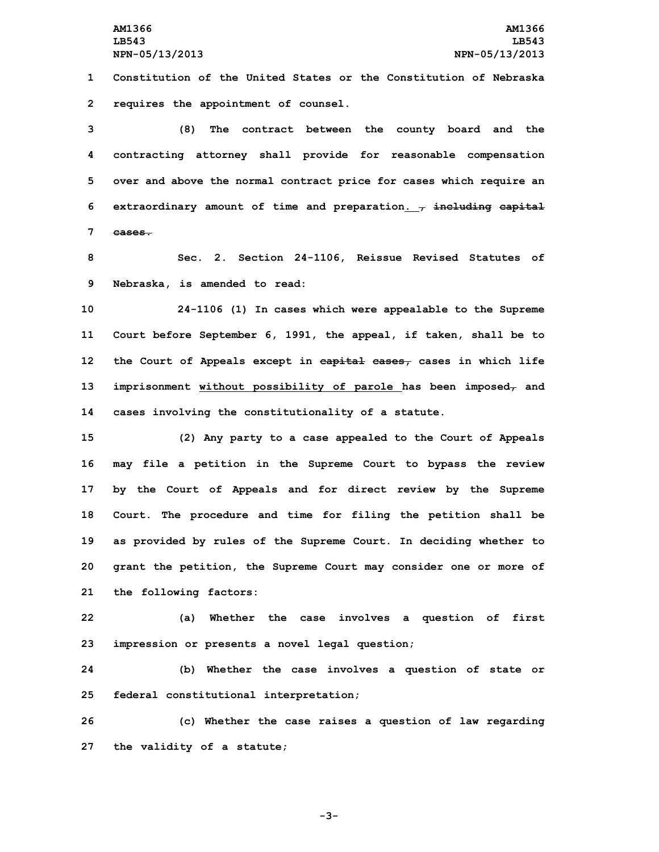**1 Constitution of the United States or the Constitution of Nebraska 2 requires the appointment of counsel.**

 **(8) The contract between the county board and the contracting attorney shall provide for reasonable compensation over and above the normal contract price for cases which require an extraordinary amount of time and preparation. , including capital 7 cases.**

**8 Sec. 2. Section 24-1106, Reissue Revised Statutes of 9 Nebraska, is amended to read:**

 **24-1106 (1) In cases which were appealable to the Supreme Court before September 6, 1991, the appeal, if taken, shall be to the Court of Appeals except in capital cases, cases in which life imprisonment without possibility of parole has been imposed, and cases involving the constitutionality of <sup>a</sup> statute.**

 **(2) Any party to <sup>a</sup> case appealed to the Court of Appeals may file <sup>a</sup> petition in the Supreme Court to bypass the review by the Court of Appeals and for direct review by the Supreme Court. The procedure and time for filing the petition shall be as provided by rules of the Supreme Court. In deciding whether to grant the petition, the Supreme Court may consider one or more of the following factors:**

**22 (a) Whether the case involves <sup>a</sup> question of first 23 impression or presents <sup>a</sup> novel legal question;**

**24 (b) Whether the case involves <sup>a</sup> question of state or 25 federal constitutional interpretation;**

**26 (c) Whether the case raises <sup>a</sup> question of law regarding 27 the validity of <sup>a</sup> statute;**

**-3-**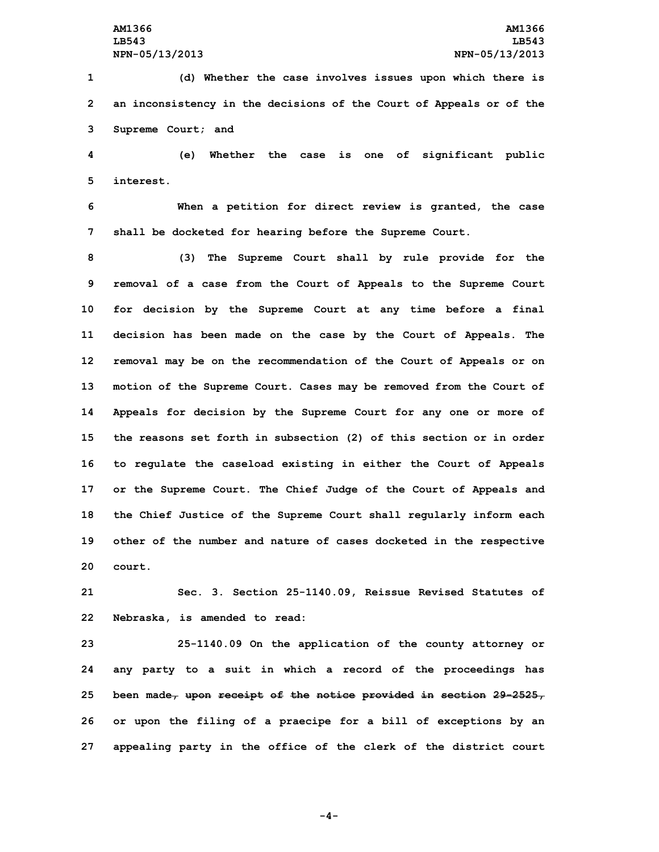**1 (d) Whether the case involves issues upon which there is 2 an inconsistency in the decisions of the Court of Appeals or of the 3 Supreme Court; and**

**4 (e) Whether the case is one of significant public 5 interest.**

**6 When <sup>a</sup> petition for direct review is granted, the case 7 shall be docketed for hearing before the Supreme Court.**

 **(3) The Supreme Court shall by rule provide for the removal of <sup>a</sup> case from the Court of Appeals to the Supreme Court for decision by the Supreme Court at any time before <sup>a</sup> final decision has been made on the case by the Court of Appeals. The removal may be on the recommendation of the Court of Appeals or on motion of the Supreme Court. Cases may be removed from the Court of Appeals for decision by the Supreme Court for any one or more of the reasons set forth in subsection (2) of this section or in order to regulate the caseload existing in either the Court of Appeals or the Supreme Court. The Chief Judge of the Court of Appeals and the Chief Justice of the Supreme Court shall regularly inform each other of the number and nature of cases docketed in the respective 20 court.**

**21 Sec. 3. Section 25-1140.09, Reissue Revised Statutes of 22 Nebraska, is amended to read:**

 **25-1140.09 On the application of the county attorney or any party to <sup>a</sup> suit in which <sup>a</sup> record of the proceedings has been made, upon receipt of the notice provided in section 29-2525, or upon the filing of <sup>a</sup> praecipe for <sup>a</sup> bill of exceptions by an appealing party in the office of the clerk of the district court**

**-4-**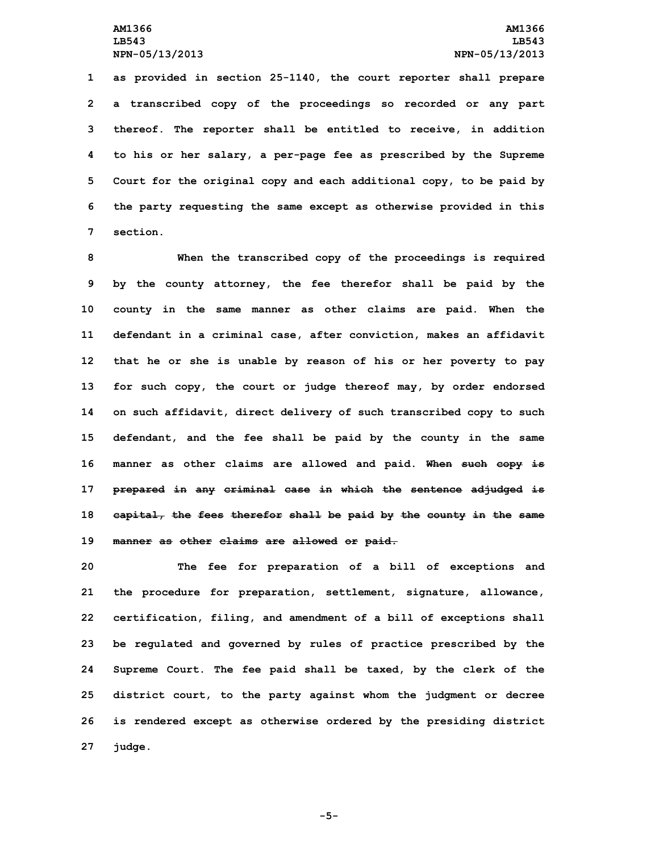**as provided in section 25-1140, the court reporter shall prepare <sup>a</sup> transcribed copy of the proceedings so recorded or any part thereof. The reporter shall be entitled to receive, in addition to his or her salary, <sup>a</sup> per-page fee as prescribed by the Supreme Court for the original copy and each additional copy, to be paid by the party requesting the same except as otherwise provided in this 7 section.**

 **When the transcribed copy of the proceedings is required by the county attorney, the fee therefor shall be paid by the county in the same manner as other claims are paid. When the defendant in <sup>a</sup> criminal case, after conviction, makes an affidavit that he or she is unable by reason of his or her poverty to pay for such copy, the court or judge thereof may, by order endorsed on such affidavit, direct delivery of such transcribed copy to such defendant, and the fee shall be paid by the county in the same manner as other claims are allowed and paid. When such copy is prepared in any criminal case in which the sentence adjudged is capital, the fees therefor shall be paid by the county in the same manner as other claims are allowed or paid.**

 **The fee for preparation of <sup>a</sup> bill of exceptions and the procedure for preparation, settlement, signature, allowance, certification, filing, and amendment of <sup>a</sup> bill of exceptions shall be regulated and governed by rules of practice prescribed by the Supreme Court. The fee paid shall be taxed, by the clerk of the district court, to the party against whom the judgment or decree is rendered except as otherwise ordered by the presiding district 27 judge.**

**-5-**